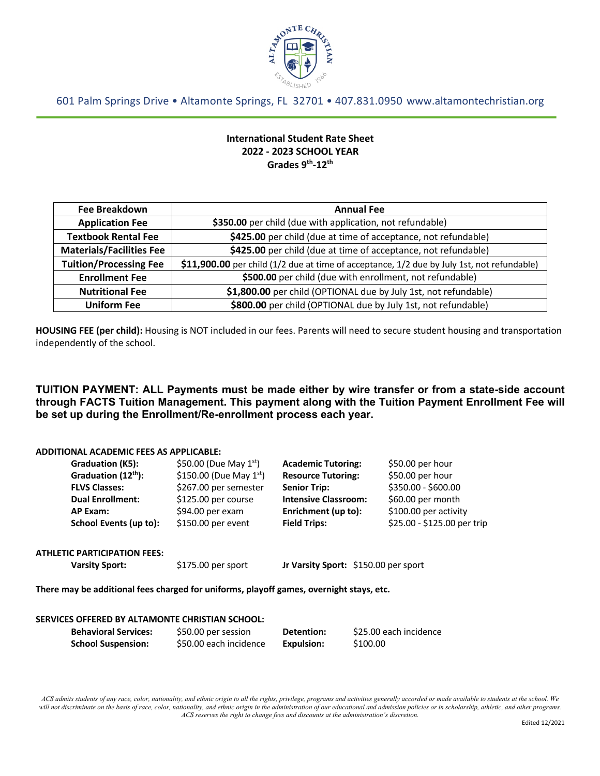

601 Palm Springs Drive • Altamonte Springs, FL 32701 • 407.831.0950 www.altamontechristian.org

# **International Student Rate Sheet 2022 - 2023 SCHOOL YEAR Grades 9th-12th**

| <b>Fee Breakdown</b>            | <b>Annual Fee</b>                                                                          |  |
|---------------------------------|--------------------------------------------------------------------------------------------|--|
| <b>Application Fee</b>          | \$350.00 per child (due with application, not refundable)                                  |  |
| <b>Textbook Rental Fee</b>      | \$425.00 per child (due at time of acceptance, not refundable)                             |  |
| <b>Materials/Facilities Fee</b> | \$425.00 per child (due at time of acceptance, not refundable)                             |  |
| <b>Tuition/Processing Fee</b>   | \$11,900.00 per child (1/2 due at time of acceptance, 1/2 due by July 1st, not refundable) |  |
| <b>Enrollment Fee</b>           | \$500.00 per child (due with enrollment, not refundable)                                   |  |
| <b>Nutritional Fee</b>          | \$1,800.00 per child (OPTIONAL due by July 1st, not refundable)                            |  |
| <b>Uniform Fee</b>              | \$800.00 per child (OPTIONAL due by July 1st, not refundable)                              |  |

**HOUSING FEE (per child):** Housing is NOT included in our fees. Parents will need to secure student housing and transportation independently of the school.

**TUITION PAYMENT: ALL Payments must be made either by wire transfer or from a state-side account through FACTS Tuition Management. This payment along with the Tuition Payment Enrollment Fee will be set up during the Enrollment/Re-enrollment process each year.**

#### **ADDITIONAL ACADEMIC FEES AS APPLICABLE:**

|                                                                                         | Graduation (K5):                    | \$50.00 (Due May $1^{st}$ )  | <b>Academic Tutoring:</b>            | \$50.00 per hour            |
|-----------------------------------------------------------------------------------------|-------------------------------------|------------------------------|--------------------------------------|-----------------------------|
|                                                                                         | Graduation (12 <sup>th</sup> ):     | \$150.00 (Due May $1^{st}$ ) | <b>Resource Tutoring:</b>            | \$50.00 per hour            |
|                                                                                         | <b>FLVS Classes:</b>                | \$267.00 per semester        | <b>Senior Trip:</b>                  | \$350.00 - \$600.00         |
|                                                                                         | <b>Dual Enrollment:</b>             | \$125.00 per course          | <b>Intensive Classroom:</b>          | \$60.00 per month           |
|                                                                                         | AP Exam:                            | \$94.00 per exam             | Enrichment (up to):                  | \$100.00 per activity       |
|                                                                                         | School Events (up to):              | \$150.00 per event           | <b>Field Trips:</b>                  | \$25.00 - \$125.00 per trip |
|                                                                                         | <b>ATHLETIC PARTICIPATION FEES:</b> |                              |                                      |                             |
| <b>Varsity Sport:</b>                                                                   |                                     | \$175.00 per sport           | Jr Varsity Sport: \$150.00 per sport |                             |
| There may be additional fees charged for uniforms, playoff games, overnight stays, etc. |                                     |                              |                                      |                             |
|                                                                                         |                                     |                              |                                      |                             |

## **SERVICES OFFERED BY ALTAMONTE CHRISTIAN SCHOOL: Behavioral Services:** \$50.00 per session **Detention:** \$25.00 each incidence **School Suspension:** \$50.00 each incidence **Expulsion:** \$100.00

*ACS admits students of any race, color, nationality, and ethnic origin to all the rights, privilege, programs and activities generally accorded or made available to students at the school. We will not discriminate on the basis of race, color, nationality, and ethnic origin in the administration of our educational and admission policies or in scholarship, athletic, and other programs. ACS reserves the right to change fees and discounts at the administration's discretion.*